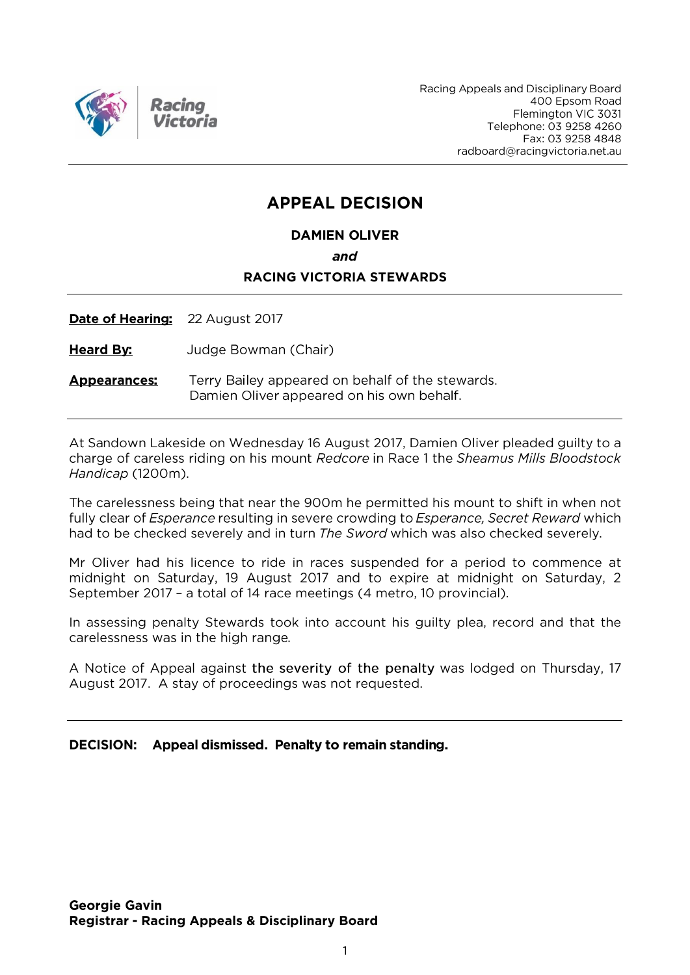

Racing Appeals and Disciplinary Board 400 Epsom Road Flemington VIC 3031 Telephone: 03 9258 4260 Fax: 03 9258 4848 radboard@racingvictoria.net.au

## **APPEAL DECISION**

**DAMIEN OLIVER** 

and

#### **RACING VICTORIA STEWARDS**

**Date of Hearing:** 22 August 2017

**Heard By:** Judge Bowman (Chair)

**Appearances:** Terry Bailey appeared on behalf of the stewards. Damien Oliver appeared on his own behalf.

At Sandown Lakeside on Wednesday 16 August 2017, Damien Oliver pleaded guilty to a charge of careless riding on his mount Redcore in Race 1 the Sheamus Mills Bloodstock Handicap (1200m).

The carelessness being that near the 900m he permitted his mount to shift in when not fully clear of *Esperance* resulting in severe crowding to *Esperance*, Secret Reward which had to be checked severely and in turn The Sword which was also checked severely.

Mr Oliver had his licence to ride in races suspended for a period to commence at midnight on Saturday, 19 August 2017 and to expire at midnight on Saturday, 2 September 2017 - a total of 14 race meetings (4 metro, 10 provincial).

In assessing penalty Stewards took into account his guilty plea, record and that the carelessness was in the high range.

A Notice of Appeal against the severity of the penalty was lodged on Thursday, 17 August 2017. A stay of proceedings was not requested.

DECISION: Appeal dismissed. Penalty to remain standing.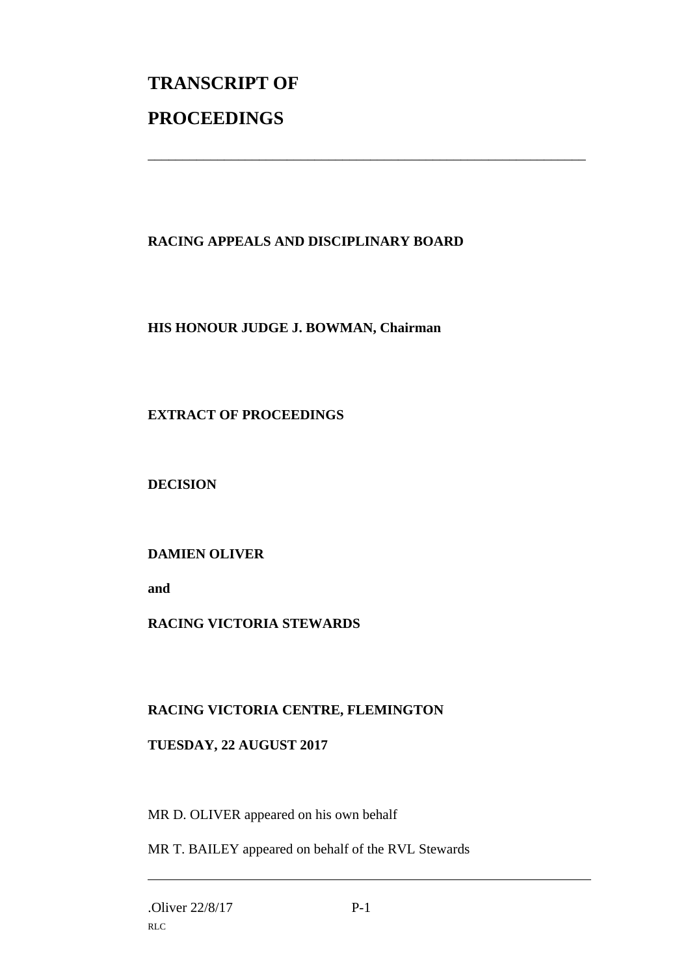# **TRANSCRIPT OF PROCEEDINGS**

### **RACING APPEALS AND DISCIPLINARY BOARD**

\_\_\_\_\_\_\_\_\_\_\_\_\_\_\_\_\_\_\_\_\_\_\_\_\_\_\_\_\_\_\_\_\_\_\_\_\_\_\_\_\_\_\_\_\_\_\_\_\_\_\_\_\_\_\_\_\_\_\_\_\_\_\_

#### **HIS HONOUR JUDGE J. BOWMAN, Chairman**

#### **EXTRACT OF PROCEEDINGS**

**DECISION**

#### **DAMIEN OLIVER**

**and** 

#### **RACING VICTORIA STEWARDS**

#### **RACING VICTORIA CENTRE, FLEMINGTON**

#### **TUESDAY, 22 AUGUST 2017**

MR D. OLIVER appeared on his own behalf

MR T. BAILEY appeared on behalf of the RVL Stewards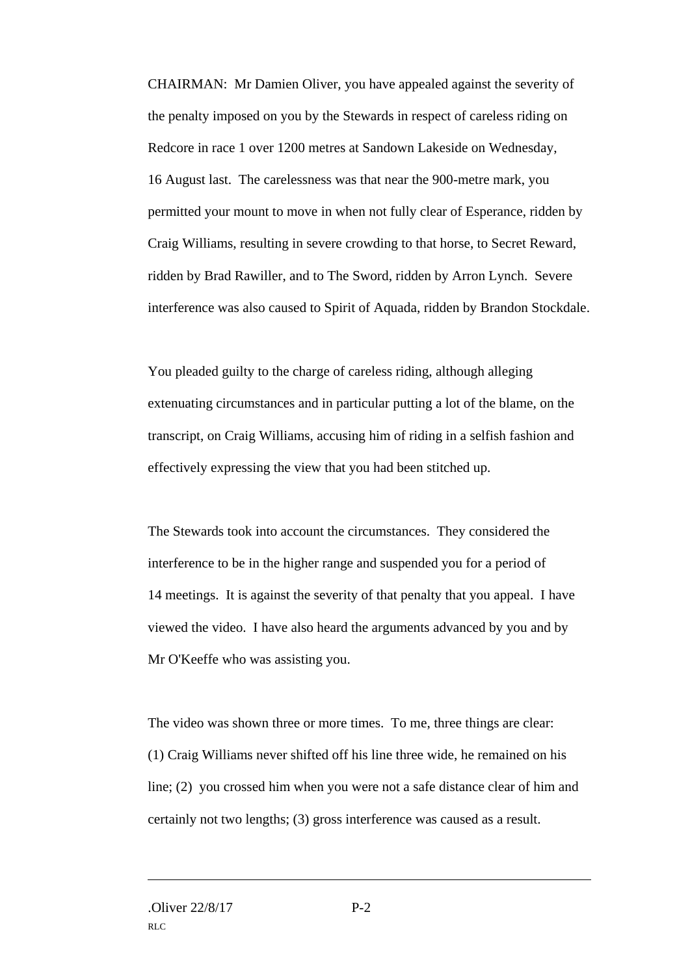CHAIRMAN: Mr Damien Oliver, you have appealed against the severity of the penalty imposed on you by the Stewards in respect of careless riding on Redcore in race 1 over 1200 metres at Sandown Lakeside on Wednesday, 16 August last. The carelessness was that near the 900-metre mark, you permitted your mount to move in when not fully clear of Esperance, ridden by Craig Williams, resulting in severe crowding to that horse, to Secret Reward, ridden by Brad Rawiller, and to The Sword, ridden by Arron Lynch. Severe interference was also caused to Spirit of Aquada, ridden by Brandon Stockdale.

You pleaded guilty to the charge of careless riding, although alleging extenuating circumstances and in particular putting a lot of the blame, on the transcript, on Craig Williams, accusing him of riding in a selfish fashion and effectively expressing the view that you had been stitched up.

The Stewards took into account the circumstances. They considered the interference to be in the higher range and suspended you for a period of 14 meetings. It is against the severity of that penalty that you appeal. I have viewed the video. I have also heard the arguments advanced by you and by Mr O'Keeffe who was assisting you.

The video was shown three or more times. To me, three things are clear: (1) Craig Williams never shifted off his line three wide, he remained on his line; (2) you crossed him when you were not a safe distance clear of him and certainly not two lengths; (3) gross interference was caused as a result.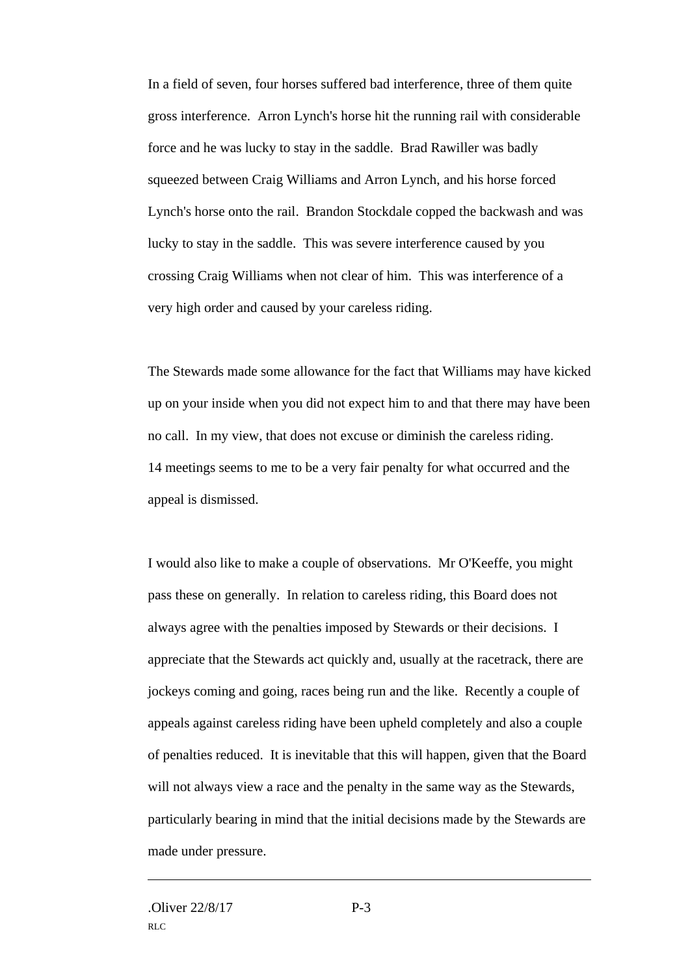In a field of seven, four horses suffered bad interference, three of them quite gross interference. Arron Lynch's horse hit the running rail with considerable force and he was lucky to stay in the saddle. Brad Rawiller was badly squeezed between Craig Williams and Arron Lynch, and his horse forced Lynch's horse onto the rail. Brandon Stockdale copped the backwash and was lucky to stay in the saddle. This was severe interference caused by you crossing Craig Williams when not clear of him. This was interference of a very high order and caused by your careless riding.

The Stewards made some allowance for the fact that Williams may have kicked up on your inside when you did not expect him to and that there may have been no call. In my view, that does not excuse or diminish the careless riding. 14 meetings seems to me to be a very fair penalty for what occurred and the appeal is dismissed.

I would also like to make a couple of observations. Mr O'Keeffe, you might pass these on generally. In relation to careless riding, this Board does not always agree with the penalties imposed by Stewards or their decisions. I appreciate that the Stewards act quickly and, usually at the racetrack, there are jockeys coming and going, races being run and the like. Recently a couple of appeals against careless riding have been upheld completely and also a couple of penalties reduced. It is inevitable that this will happen, given that the Board will not always view a race and the penalty in the same way as the Stewards, particularly bearing in mind that the initial decisions made by the Stewards are made under pressure.